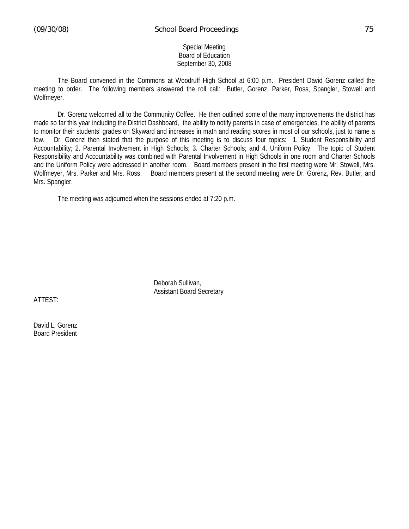## Special Meeting Board of Education September 30, 2008

 The Board convened in the Commons at Woodruff High School at 6:00 p.m. President David Gorenz called the meeting to order. The following members answered the roll call: Butler, Gorenz, Parker, Ross, Spangler, Stowell and Wolfmeyer.

Dr. Gorenz welcomed all to the Community Coffee. He then outlined some of the many improvements the district has made so far this year including the District Dashboard, the ability to notify parents in case of emergencies, the ability of parents to monitor their students' grades on Skyward and increases in math and reading scores in most of our schools, just to name a few. Dr. Gorenz then stated that the purpose of this meeting is to discuss four topics: 1. Student Responsibility and Accountability; 2. Parental Involvement in High Schools; 3. Charter Schools; and 4. Uniform Policy. The topic of Student Responsibility and Accountability was combined with Parental Involvement in High Schools in one room and Charter Schools and the Uniform Policy were addressed in another room. Board members present in the first meeting were Mr. Stowell, Mrs. Wolfmeyer, Mrs. Parker and Mrs. Ross. Board members present at the second meeting were Dr. Gorenz, Rev. Butler, and Mrs. Spangler.

The meeting was adjourned when the sessions ended at 7:20 p.m.

 Deborah Sullivan, Assistant Board Secretary

ATTEST:

David L. Gorenz Board President